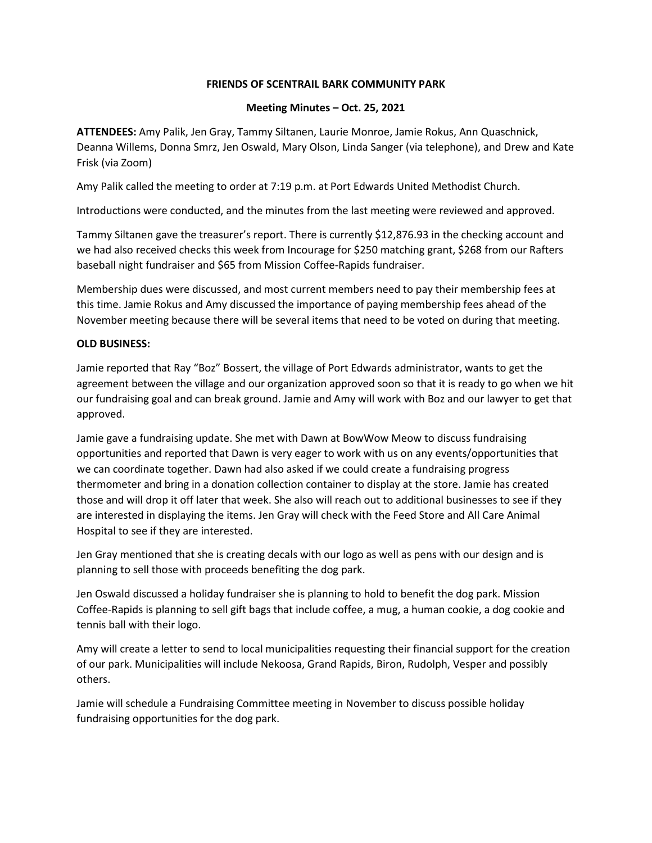## **FRIENDS OF SCENTRAIL BARK COMMUNITY PARK**

## **Meeting Minutes – Oct. 25, 2021**

**ATTENDEES:** Amy Palik, Jen Gray, Tammy Siltanen, Laurie Monroe, Jamie Rokus, Ann Quaschnick, Deanna Willems, Donna Smrz, Jen Oswald, Mary Olson, Linda Sanger (via telephone), and Drew and Kate Frisk (via Zoom)

Amy Palik called the meeting to order at 7:19 p.m. at Port Edwards United Methodist Church.

Introductions were conducted, and the minutes from the last meeting were reviewed and approved.

Tammy Siltanen gave the treasurer's report. There is currently \$12,876.93 in the checking account and we had also received checks this week from Incourage for \$250 matching grant, \$268 from our Rafters baseball night fundraiser and \$65 from Mission Coffee-Rapids fundraiser.

Membership dues were discussed, and most current members need to pay their membership fees at this time. Jamie Rokus and Amy discussed the importance of paying membership fees ahead of the November meeting because there will be several items that need to be voted on during that meeting.

## **OLD BUSINESS:**

Jamie reported that Ray "Boz" Bossert, the village of Port Edwards administrator, wants to get the agreement between the village and our organization approved soon so that it is ready to go when we hit our fundraising goal and can break ground. Jamie and Amy will work with Boz and our lawyer to get that approved.

Jamie gave a fundraising update. She met with Dawn at BowWow Meow to discuss fundraising opportunities and reported that Dawn is very eager to work with us on any events/opportunities that we can coordinate together. Dawn had also asked if we could create a fundraising progress thermometer and bring in a donation collection container to display at the store. Jamie has created those and will drop it off later that week. She also will reach out to additional businesses to see if they are interested in displaying the items. Jen Gray will check with the Feed Store and All Care Animal Hospital to see if they are interested.

Jen Gray mentioned that she is creating decals with our logo as well as pens with our design and is planning to sell those with proceeds benefiting the dog park.

Jen Oswald discussed a holiday fundraiser she is planning to hold to benefit the dog park. Mission Coffee-Rapids is planning to sell gift bags that include coffee, a mug, a human cookie, a dog cookie and tennis ball with their logo.

Amy will create a letter to send to local municipalities requesting their financial support for the creation of our park. Municipalities will include Nekoosa, Grand Rapids, Biron, Rudolph, Vesper and possibly others.

Jamie will schedule a Fundraising Committee meeting in November to discuss possible holiday fundraising opportunities for the dog park.